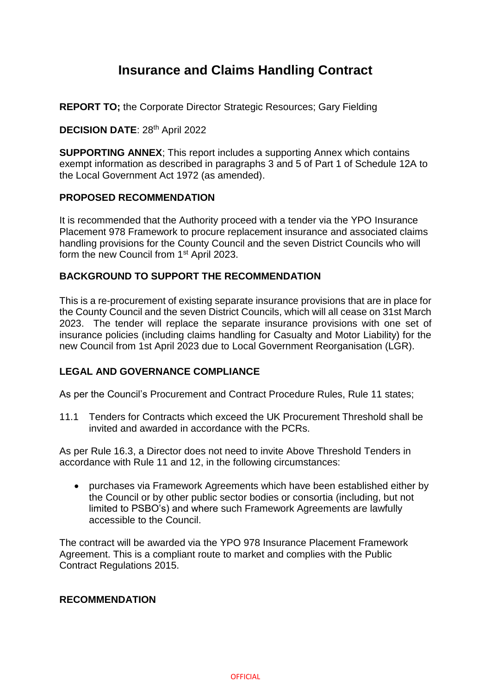# **Insurance and Claims Handling Contract**

**REPORT TO;** the Corporate Director Strategic Resources; Gary Fielding

## **DECISION DATE**: 28th April 2022

**SUPPORTING ANNEX**; This report includes a supporting Annex which contains exempt information as described in paragraphs 3 and 5 of Part 1 of Schedule 12A to the Local Government Act 1972 (as amended).

#### **PROPOSED RECOMMENDATION**

It is recommended that the Authority proceed with a tender via the YPO Insurance Placement 978 Framework to procure replacement insurance and associated claims handling provisions for the County Council and the seven District Councils who will form the new Council from 1<sup>st</sup> April 2023.

## **BACKGROUND TO SUPPORT THE RECOMMENDATION**

This is a re-procurement of existing separate insurance provisions that are in place for the County Council and the seven District Councils, which will all cease on 31st March 2023. The tender will replace the separate insurance provisions with one set of insurance policies (including claims handling for Casualty and Motor Liability) for the new Council from 1st April 2023 due to Local Government Reorganisation (LGR).

# **LEGAL AND GOVERNANCE COMPLIANCE**

As per the Council's Procurement and Contract Procedure Rules, Rule 11 states:

11.1 Tenders for Contracts which exceed the UK Procurement Threshold shall be invited and awarded in accordance with the PCRs.

As per Rule 16.3, a Director does not need to invite Above Threshold Tenders in accordance with Rule 11 and 12, in the following circumstances:

 purchases via Framework Agreements which have been established either by the Council or by other public sector bodies or consortia (including, but not limited to PSBO's) and where such Framework Agreements are lawfully accessible to the Council.

The contract will be awarded via the YPO 978 Insurance Placement Framework Agreement. This is a compliant route to market and complies with the Public Contract Regulations 2015.

#### **RECOMMENDATION**